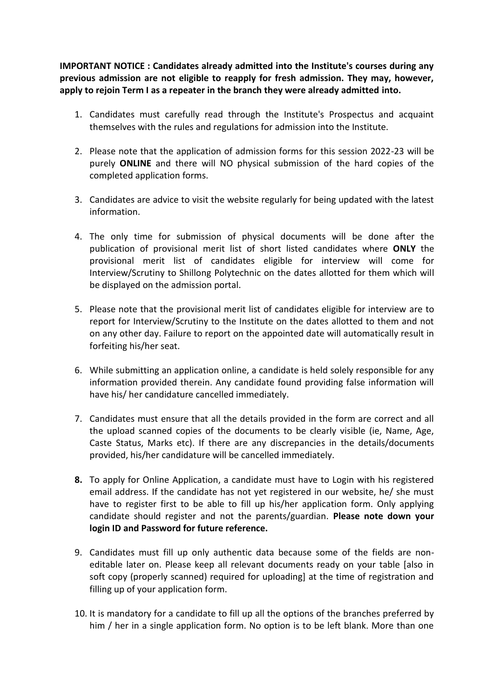**IMPORTANT NOTICE : Candidates already admitted into the Institute's courses during any previous admission are not eligible to reapply for fresh admission. They may, however, apply to rejoin Term I as a repeater in the branch they were already admitted into.**

- 1. Candidates must carefully read through the Institute's Prospectus and acquaint themselves with the rules and regulations for admission into the Institute.
- 2. Please note that the application of admission forms for this session 2022-23 will be purely **ONLINE** and there will NO physical submission of the hard copies of the completed application forms.
- 3. Candidates are advice to visit the website regularly for being updated with the latest information.
- 4. The only time for submission of physical documents will be done after the publication of provisional merit list of short listed candidates where **ONLY** the provisional merit list of candidates eligible for interview will come for Interview/Scrutiny to Shillong Polytechnic on the dates allotted for them which will be displayed on the admission portal.
- 5. Please note that the provisional merit list of candidates eligible for interview are to report for Interview/Scrutiny to the Institute on the dates allotted to them and not on any other day. Failure to report on the appointed date will automatically result in forfeiting his/her seat.
- 6. While submitting an application online, a candidate is held solely responsible for any information provided therein. Any candidate found providing false information will have his/ her candidature cancelled immediately.
- 7. Candidates must ensure that all the details provided in the form are correct and all the upload scanned copies of the documents to be clearly visible (ie, Name, Age, Caste Status, Marks etc). If there are any discrepancies in the details/documents provided, his/her candidature will be cancelled immediately.
- **8.** To apply for Online Application, a candidate must have to Login with his registered email address. If the candidate has not yet registered in our website, he/ she must have to register first to be able to fill up his/her application form. Only applying candidate should register and not the parents/guardian. **Please note down your login ID and Password for future reference.**
- 9. Candidates must fill up only authentic data because some of the fields are noneditable later on. Please keep all relevant documents ready on your table [also in soft copy (properly scanned) required for uploading] at the time of registration and filling up of your application form.
- 10. It is mandatory for a candidate to fill up all the options of the branches preferred by him / her in a single application form. No option is to be left blank. More than one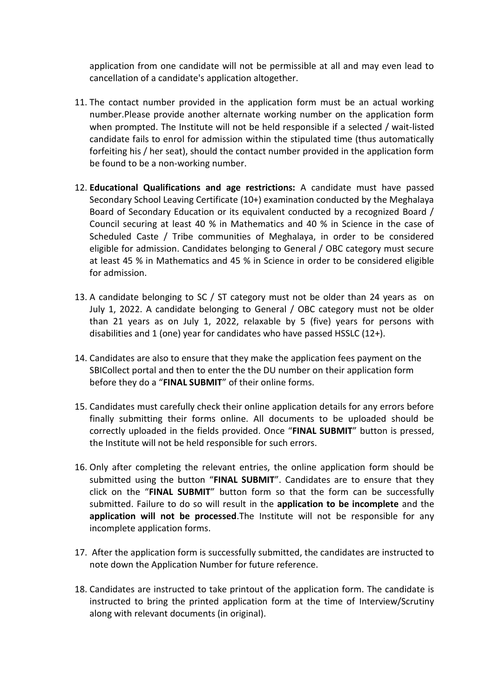application from one candidate will not be permissible at all and may even lead to cancellation of a candidate's application altogether.

- 11. The contact number provided in the application form must be an actual working number.Please provide another alternate working number on the application form when prompted. The Institute will not be held responsible if a selected / wait-listed candidate fails to enrol for admission within the stipulated time (thus automatically forfeiting his / her seat), should the contact number provided in the application form be found to be a non-working number.
- 12. **Educational Qualifications and age restrictions:** A candidate must have passed Secondary School Leaving Certificate (10+) examination conducted by the Meghalaya Board of Secondary Education or its equivalent conducted by a recognized Board / Council securing at least 40 % in Mathematics and 40 % in Science in the case of Scheduled Caste / Tribe communities of Meghalaya, in order to be considered eligible for admission. Candidates belonging to General / OBC category must secure at least 45 % in Mathematics and 45 % in Science in order to be considered eligible for admission.
- 13. A candidate belonging to SC / ST category must not be older than 24 years as on July 1, 2022. A candidate belonging to General / OBC category must not be older than 21 years as on July 1, 2022, relaxable by 5 (five) years for persons with disabilities and 1 (one) year for candidates who have passed HSSLC (12+).
- 14. Candidates are also to ensure that they make the application fees payment on the SBICollect portal and then to enter the the DU number on their application form before they do a "**FINAL SUBMIT**" of their online forms.
- 15. Candidates must carefully check their online application details for any errors before finally submitting their forms online. All documents to be uploaded should be correctly uploaded in the fields provided. Once "**FINAL SUBMIT**" button is pressed, the Institute will not be held responsible for such errors.
- 16. Only after completing the relevant entries, the online application form should be submitted using the button "**FINAL SUBMIT**". Candidates are to ensure that they click on the "**FINAL SUBMIT**" button form so that the form can be successfully submitted. Failure to do so will result in the **application to be incomplete** and the **application will not be processed**.The Institute will not be responsible for any incomplete application forms.
- 17. After the application form is successfully submitted, the candidates are instructed to note down the Application Number for future reference.
- 18. Candidates are instructed to take printout of the application form. The candidate is instructed to bring the printed application form at the time of Interview/Scrutiny along with relevant documents (in original).